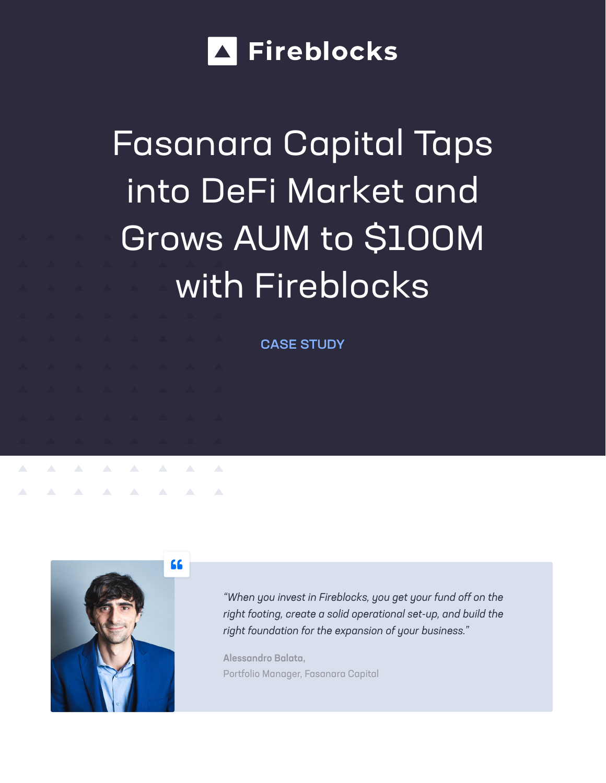

# Fasanara Capital Taps into DeFi Market and Grows AUM to \$100M with Fireblocks

CASE STUDY



**A A A A A** 

 $\Delta \omega$ 

*"When you invest in Fireblocks, you get your fund off on the right footing, create a solid operational set-up, and build the right foundation for the expansion of your business."*

Alessandro Balata, Portfolio Manager, Fasanara Capital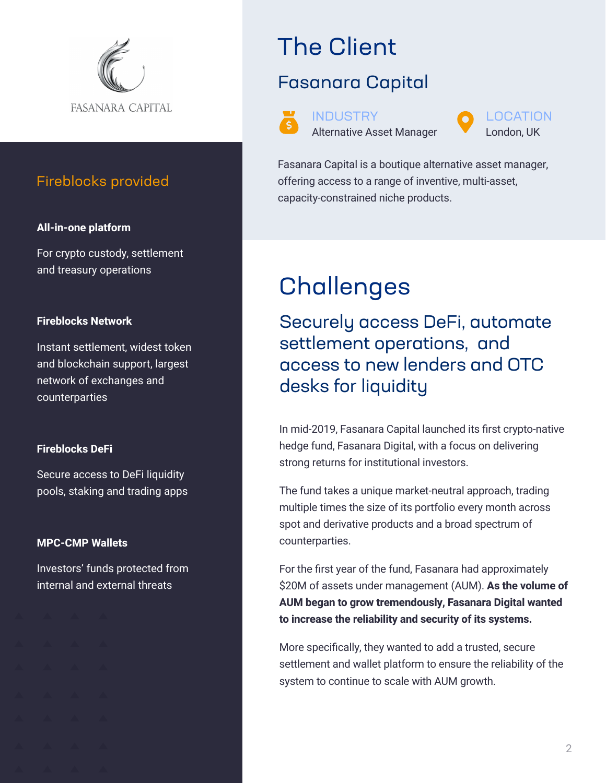

### Fireblocks provided

#### **All-in-one platform**

For crypto custody, settlement and treasury operations

#### **Fireblocks Network**

Instant settlement, widest token and blockchain support, largest network of exchanges and counterparties

### **Fireblocks DeFi**

Secure access to DeFi liquidity pools, staking and trading apps

#### **MPC-CMP Wallets**

Investors' funds protected from internal and external threats

# The Client

### Fasanara Capital



Fasanara Capital is a boutique alternative asset manager, offering access to a range of inventive, multi-asset, capacity-constrained niche products.

# **Challenges**

Securely access DeFi, automate settlement operations, and access to new lenders and OTC desks for liquidity

In mid-2019, Fasanara Capital launched its first crypto-native hedge fund, Fasanara Digital, with a focus on delivering strong returns for institutional investors.

The fund takes a unique market-neutral approach, trading multiple times the size of its portfolio every month across spot and derivative products and a broad spectrum of counterparties.

For the first year of the fund, Fasanara had approximately \$20M of assets under management (AUM). **As the volume of AUM began to grow tremendously, Fasanara Digital wanted to increase the reliability and security of its systems.** 

More specifically, they wanted to add a trusted, secure settlement and wallet platform to ensure the reliability of the system to continue to scale with AUM growth.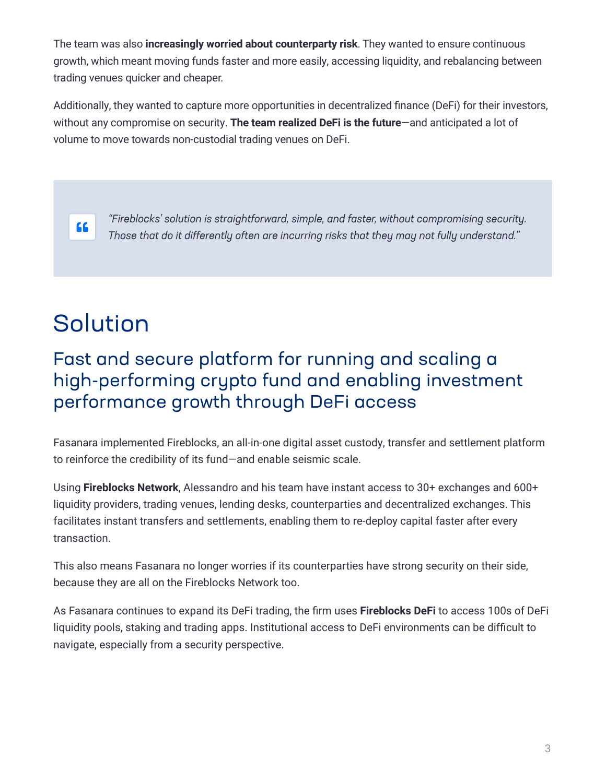The team was also **increasingly worried about counterparty risk**. They wanted to ensure continuous growth, which meant moving funds faster and more easily, accessing liquidity, and rebalancing between trading venues quicker and cheaper.

Additionally, they wanted to capture more opportunities in decentralized finance (DeFi) for their investors, without any compromise on security. **The team realized DeFi is the future**—and anticipated a lot of volume to move towards non-custodial trading venues on DeFi.



*"Fireblocks' solution is straightforward, simple, and faster, without compromising security. Those that do it differently often are incurring risks that they may not fully understand."*

# Solution

### Fast and secure platform for running and scaling a high-performing crypto fund and enabling investment performance growth through DeFi access

Fasanara implemented Fireblocks, an all-in-one digital asset custody, transfer and settlement platform to reinforce the credibility of its fund—and enable seismic scale.

Using **Fireblocks Network**, Alessandro and his team have instant access to 30+ exchanges and 600+ liquidity providers, trading venues, lending desks, counterparties and decentralized exchanges. This facilitates instant transfers and settlements, enabling them to re-deploy capital faster after every transaction.

This also means Fasanara no longer worries if its counterparties have strong security on their side, because they are all on the Fireblocks Network too.

As Fasanara continues to expand its DeFi trading, the firm uses **Fireblocks DeFi** to access 100s of DeFi liquidity pools, staking and trading apps. Institutional access to DeFi environments can be difficult to navigate, especially from a security perspective.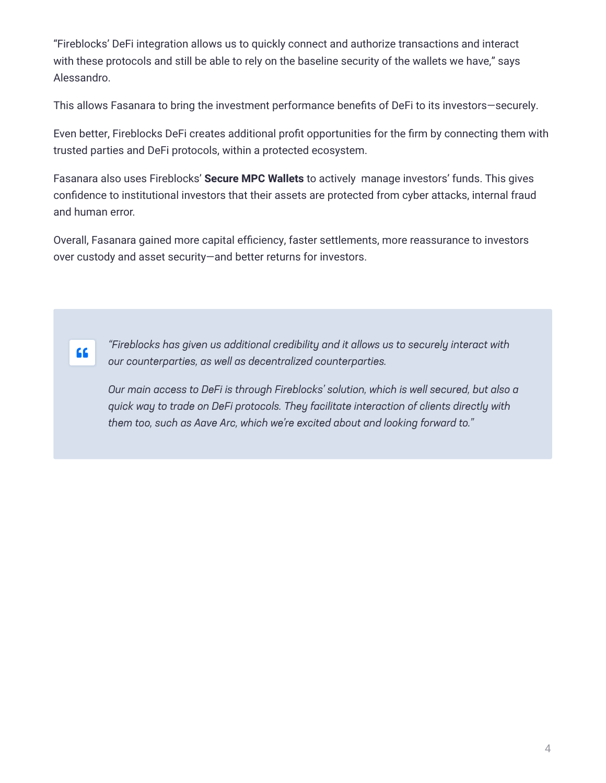"Fireblocks' DeFi integration allows us to quickly connect and authorize transactions and interact with these protocols and still be able to rely on the baseline security of the wallets we have," says Alessandro.

This allows Fasanara to bring the investment performance benefits of DeFi to its investors—securely.

Even better, Fireblocks DeFi creates additional profit opportunities for the firm by connecting them with trusted parties and DeFi protocols, within a protected ecosystem.

Fasanara also uses Fireblocks' **Secure MPC Wallets** to actively manage investors' funds. This gives confidence to institutional investors that their assets are protected from cyber attacks, internal fraud and human error.

Overall, Fasanara gained more capital efficiency, faster settlements, more reassurance to investors over custody and asset security—and better returns for investors.



*"Fireblocks has given us additional credibility and it allows us to securely interact with our counterparties, as well as decentralized counterparties.* 

*Our main access to DeFi is through Fireblocks' solution, which is well secured, but also a quick way to trade on DeFi protocols. They facilitate interaction of clients directly with them too, such as Aave Arc, which we're excited about and looking forward to."*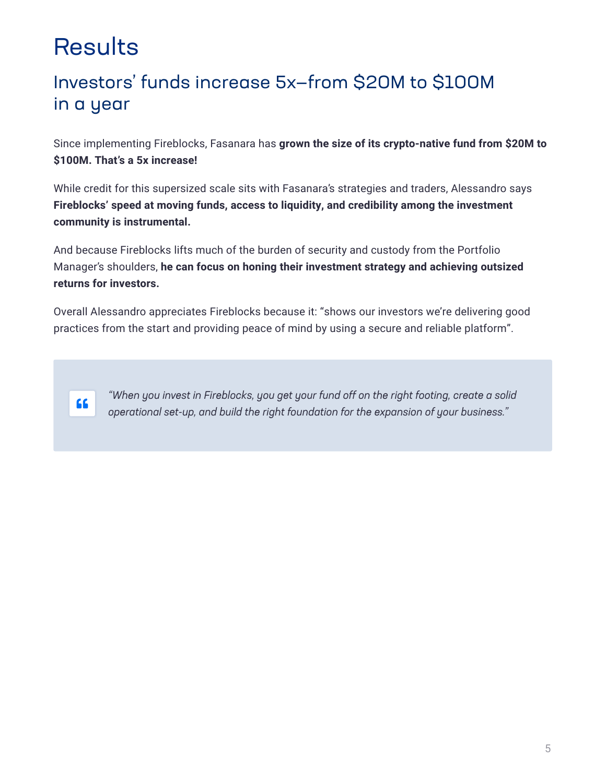# **Results**

### Investors' funds increase 5x—from \$20M to \$100M in a year

Since implementing Fireblocks, Fasanara has **grown the size of its crypto-native fund from \$20M to \$100M. That's a 5x increase!** 

While credit for this supersized scale sits with Fasanara's strategies and traders, Alessandro says **Fireblocks' speed at moving funds, access to liquidity, and credibility among the investment community is instrumental.**

And because Fireblocks lifts much of the burden of security and custody from the Portfolio Manager's shoulders, **he can focus on honing their investment strategy and achieving outsized returns for investors.** 

Overall Alessandro appreciates Fireblocks because it: "shows our investors we're delivering good practices from the start and providing peace of mind by using a secure and reliable platform".



*"When you invest in Fireblocks, you get your fund off on the right footing, create a solid operational set-up, and build the right foundation for the expansion of your business."*